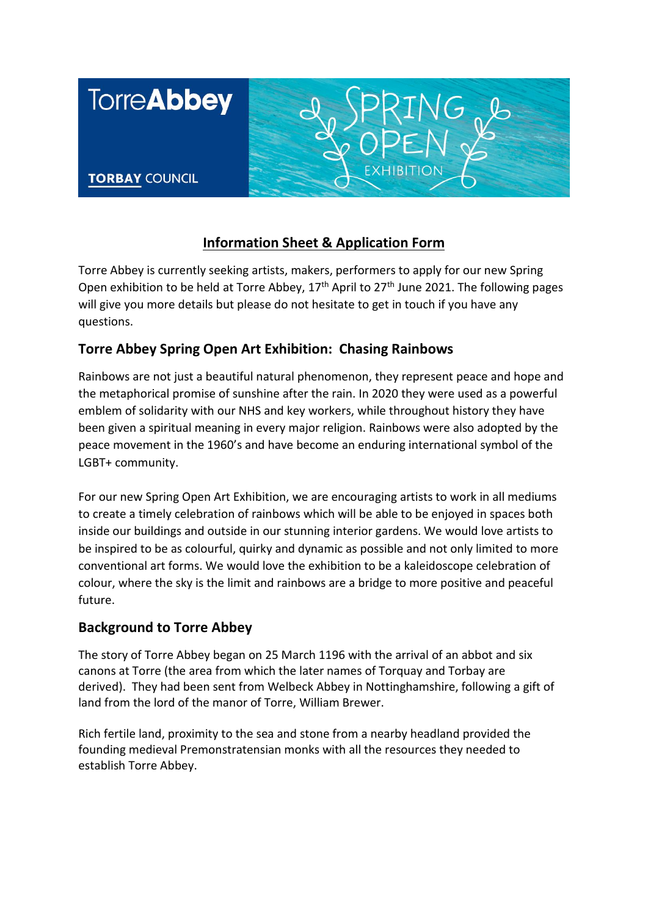

# **Information Sheet & Application Form**

Torre Abbey is currently seeking artists, makers, performers to apply for our new Spring Open exhibition to be held at Torre Abbey,  $17<sup>th</sup>$  April to  $27<sup>th</sup>$  June 2021. The following pages will give you more details but please do not hesitate to get in touch if you have any questions.

### **Torre Abbey Spring Open Art Exhibition: Chasing Rainbows**

Rainbows are not just a beautiful natural phenomenon, they represent peace and hope and the metaphorical promise of sunshine after the rain. In 2020 they were used as a powerful emblem of solidarity with our NHS and key workers, while throughout history they have been given a spiritual meaning in every major religion. Rainbows were also adopted by the peace movement in the 1960's and have become an enduring international symbol of the LGBT+ community.

For our new Spring Open Art Exhibition, we are encouraging artists to work in all mediums to create a timely celebration of rainbows which will be able to be enjoyed in spaces both inside our buildings and outside in our stunning interior gardens. We would love artists to be inspired to be as colourful, quirky and dynamic as possible and not only limited to more conventional art forms. We would love the exhibition to be a kaleidoscope celebration of colour, where the sky is the limit and rainbows are a bridge to more positive and peaceful future.

### **Background to Torre Abbey**

The story of Torre Abbey began on 25 March 1196 with the arrival of an abbot and six canons at Torre (the area from which the later names of Torquay and Torbay are derived). They had been sent from Welbeck Abbey in Nottinghamshire, following a gift of land from the lord of the manor of Torre, William Brewer.

Rich fertile land, proximity to the sea and stone from a nearby headland provided the founding medieval Premonstratensian monks with all the resources they needed to establish Torre Abbey.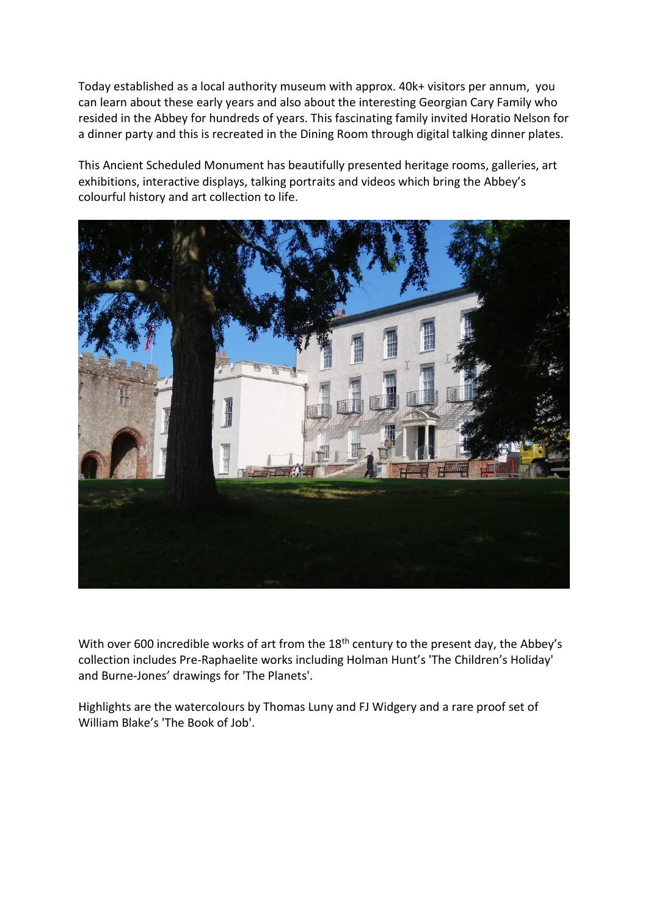Today established as a local authority museum with approx. 40k+ visitors per annum, you can learn about these early years and also about the interesting Georgian Cary Family who resided in the Abbey for hundreds of years. This fascinating family invited Horatio Nelson for a dinner party and this is recreated in the Dining Room through digital talking dinner plates.

This Ancient Scheduled Monument has beautifully presented heritage rooms, galleries, art exhibitions, interactive displays, talking portraits and videos which bring the Abbey's colourful history and art collection to life.



With over 600 incredible works of art from the 18<sup>th</sup> century to the present day, the Abbey's collection includes Pre-Raphaelite works including Holman Hunt's 'The Children's Holiday' and Burne-Jones' drawings for 'The Planets'.

Highlights are the watercolours by Thomas Luny and FJ Widgery and a rare proof set of William Blake's 'The Book of Job'.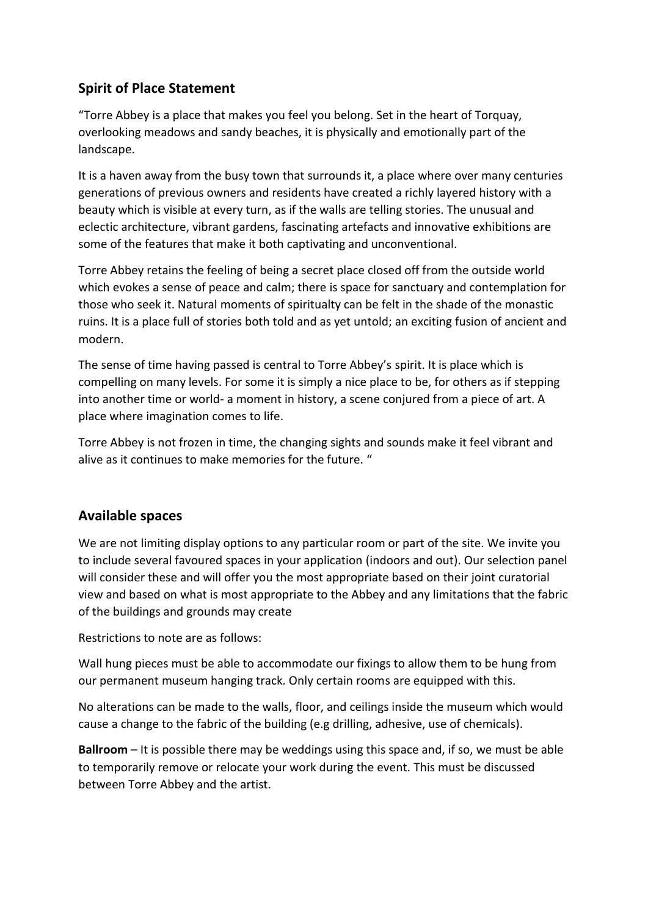# **Spirit of Place Statement**

"Torre Abbey is a place that makes you feel you belong. Set in the heart of Torquay, overlooking meadows and sandy beaches, it is physically and emotionally part of the landscape.

It is a haven away from the busy town that surrounds it, a place where over many centuries generations of previous owners and residents have created a richly layered history with a beauty which is visible at every turn, as if the walls are telling stories. The unusual and eclectic architecture, vibrant gardens, fascinating artefacts and innovative exhibitions are some of the features that make it both captivating and unconventional.

Torre Abbey retains the feeling of being a secret place closed off from the outside world which evokes a sense of peace and calm; there is space for sanctuary and contemplation for those who seek it. Natural moments of spiritualty can be felt in the shade of the monastic ruins. It is a place full of stories both told and as yet untold; an exciting fusion of ancient and modern.

The sense of time having passed is central to Torre Abbey's spirit. It is place which is compelling on many levels. For some it is simply a nice place to be, for others as if stepping into another time or world- a moment in history, a scene conjured from a piece of art. A place where imagination comes to life.

Torre Abbey is not frozen in time, the changing sights and sounds make it feel vibrant and alive as it continues to make memories for the future. "

### **Available spaces**

We are not limiting display options to any particular room or part of the site. We invite you to include several favoured spaces in your application (indoors and out). Our selection panel will consider these and will offer you the most appropriate based on their joint curatorial view and based on what is most appropriate to the Abbey and any limitations that the fabric of the buildings and grounds may create

Restrictions to note are as follows:

Wall hung pieces must be able to accommodate our fixings to allow them to be hung from our permanent museum hanging track. Only certain rooms are equipped with this.

No alterations can be made to the walls, floor, and ceilings inside the museum which would cause a change to the fabric of the building (e.g drilling, adhesive, use of chemicals).

**Ballroom** – It is possible there may be weddings using this space and, if so, we must be able to temporarily remove or relocate your work during the event. This must be discussed between Torre Abbey and the artist.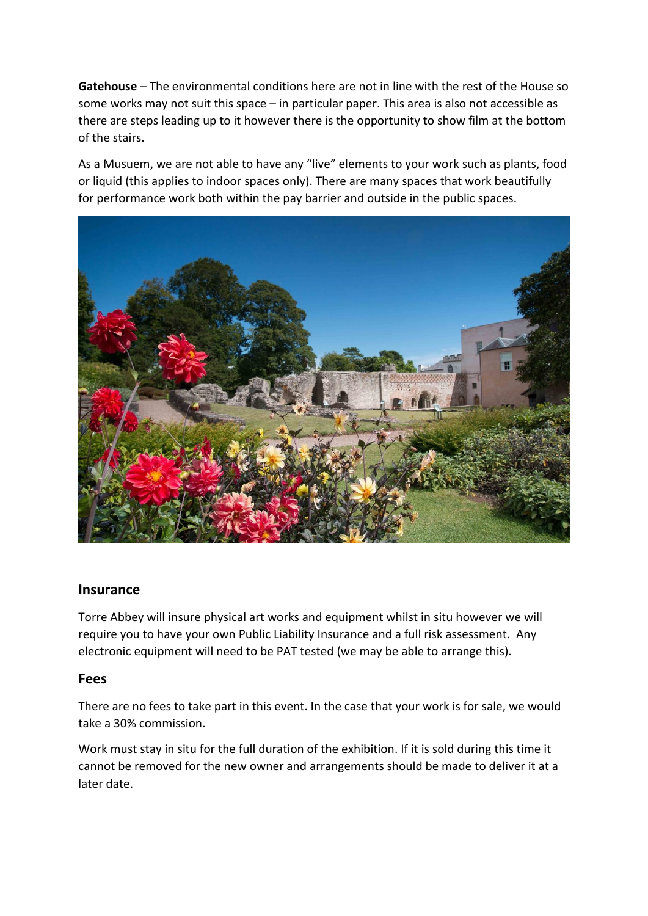**Gatehouse** – The environmental conditions here are not in line with the rest of the House so some works may not suit this space – in particular paper. This area is also not accessible as there are steps leading up to it however there is the opportunity to show film at the bottom of the stairs.

As a Musuem, we are not able to have any "live" elements to your work such as plants, food or liquid (this applies to indoor spaces only). There are many spaces that work beautifully for performance work both within the pay barrier and outside in the public spaces.



#### **Insurance**

Torre Abbey will insure physical art works and equipment whilst in situ however we will require you to have your own Public Liability Insurance and a full risk assessment. Any electronic equipment will need to be PAT tested (we may be able to arrange this).

#### **Fees**

There are no fees to take part in this event. In the case that your work is for sale, we would take a 30% commission.

Work must stay in situ for the full duration of the exhibition. If it is sold during this time it cannot be removed for the new owner and arrangements should be made to deliver it at a later date.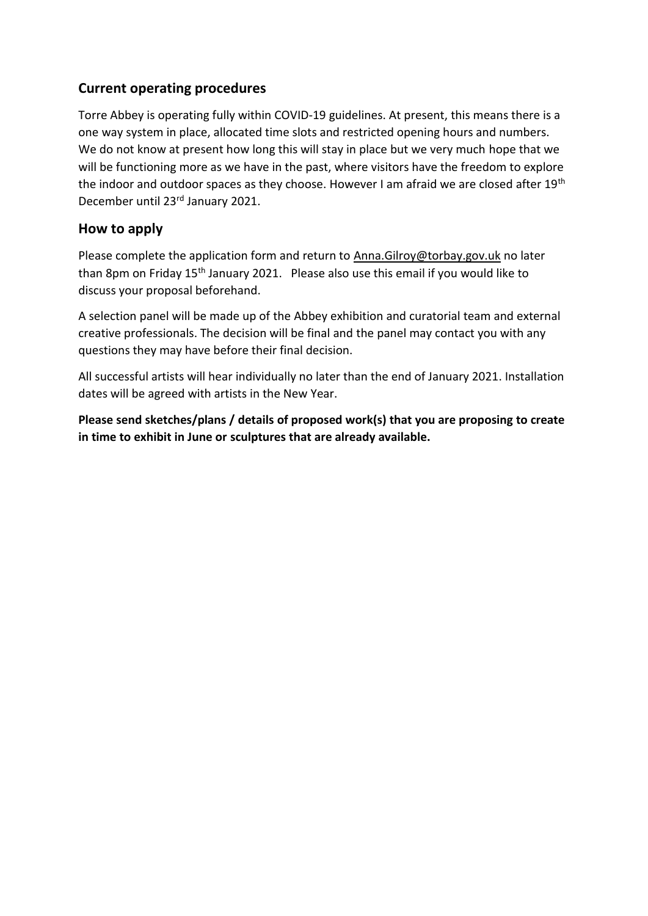### **Current operating procedures**

Torre Abbey is operating fully within COVID-19 guidelines. At present, this means there is a one way system in place, allocated time slots and restricted opening hours and numbers. We do not know at present how long this will stay in place but we very much hope that we will be functioning more as we have in the past, where visitors have the freedom to explore the indoor and outdoor spaces as they choose. However I am afraid we are closed after 19th December until 23rd January 2021.

### **How to apply**

Please complete the application form and return to [Anna.Gilroy@torbay.gov.uk](mailto:Anna.Gilroy@torbay.gov.uk) no later than 8pm on Friday 15<sup>th</sup> January 2021. Please also use this email if you would like to discuss your proposal beforehand.

A selection panel will be made up of the Abbey exhibition and curatorial team and external creative professionals. The decision will be final and the panel may contact you with any questions they may have before their final decision.

All successful artists will hear individually no later than the end of January 2021. Installation dates will be agreed with artists in the New Year.

**Please send sketches/plans / details of proposed work(s) that you are proposing to create in time to exhibit in June or sculptures that are already available.**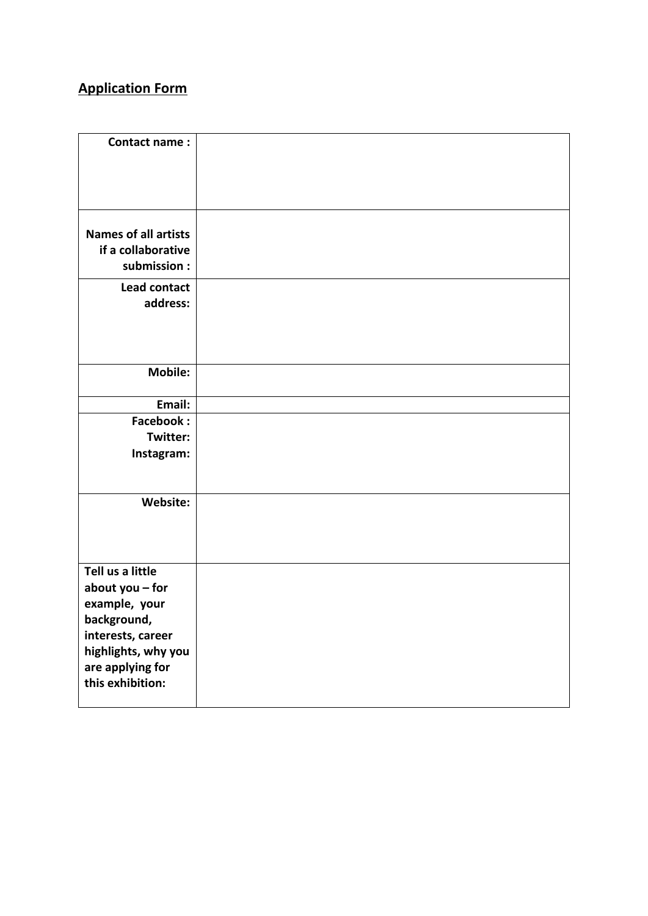# **Application Form**

| <b>Contact name:</b>                                                                                                                |  |
|-------------------------------------------------------------------------------------------------------------------------------------|--|
| <b>Names of all artists</b><br>if a collaborative<br>submission:                                                                    |  |
| Lead contact<br>address:                                                                                                            |  |
| Mobile:                                                                                                                             |  |
| Email:                                                                                                                              |  |
| <b>Facebook:</b>                                                                                                                    |  |
| Twitter:                                                                                                                            |  |
| Instagram:                                                                                                                          |  |
| Website:                                                                                                                            |  |
| Tell us a little<br>about you - for<br>example, your<br>background,<br>interests, career<br>highlights, why you<br>are applying for |  |
| this exhibition:                                                                                                                    |  |